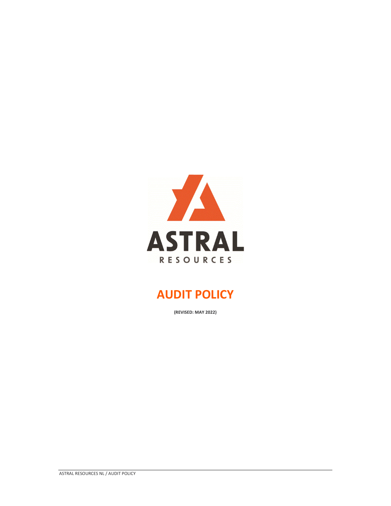

# **AUDIT POLICY**

**(REVISED: MAY 2022)**

ASTRAL RESOURCES NL / AUDIT POLICY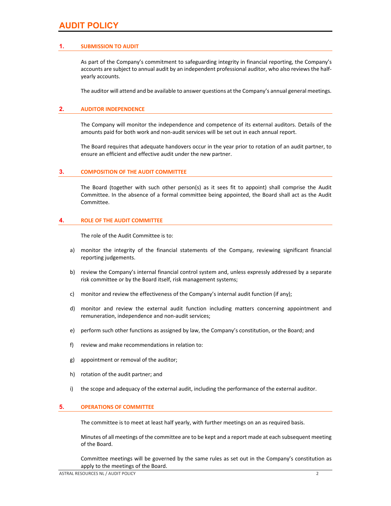# **AUDIT POLICY**

### **1. SUBMISSION TO AUDIT**

As part of the Company's commitment to safeguarding integrity in financial reporting, the Company's accounts are subject to annual audit by an independent professional auditor, who also reviews the half‐ yearly accounts.

The auditor will attend and be available to answer questions at the Company's annual general meetings.

### **2. AUDITOR INDEPENDENCE**

The Company will monitor the independence and competence of its external auditors. Details of the amounts paid for both work and non‐audit services will be set out in each annual report.

The Board requires that adequate handovers occur in the year prior to rotation of an audit partner, to ensure an efficient and effective audit under the new partner.

#### **3. COMPOSITION OF THE AUDIT COMMITTEE**

The Board (together with such other person(s) as it sees fit to appoint) shall comprise the Audit Committee. In the absence of a formal committee being appointed, the Board shall act as the Audit Committee.

#### **4. ROLE OF THE AUDIT COMMITTEE**

The role of the Audit Committee is to:

- a) monitor the integrity of the financial statements of the Company, reviewing significant financial reporting judgements.
- b) review the Company's internal financial control system and, unless expressly addressed by a separate risk committee or by the Board itself, risk management systems;
- c) monitor and review the effectiveness of the Company's internal audit function (if any);
- d) monitor and review the external audit function including matters concerning appointment and remuneration, independence and non‐audit services;
- e) perform such other functions as assigned by law, the Company's constitution, or the Board; and
- f) review and make recommendations in relation to:
- g) appointment or removal of the auditor;
- h) rotation of the audit partner; and
- i) the scope and adequacy of the external audit, including the performance of the external auditor.

#### **5. OPERATIONS OF COMMITTEE**

The committee is to meet at least half yearly, with further meetings on an as required basis.

Minutes of all meetings of the committee are to be kept and a report made at each subsequent meeting of the Board.

Committee meetings will be governed by the same rules as set out in the Company's constitution as apply to the meetings of the Board.